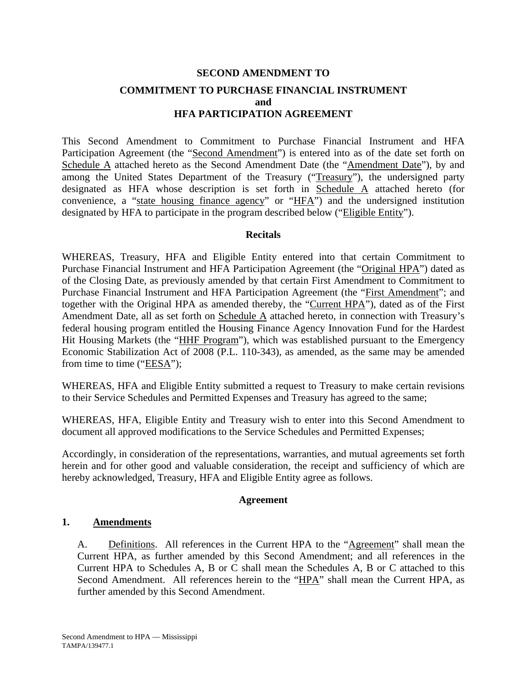## **SECOND AMENDMENT TO COMMITMENT TO PURCHASE FINANCIAL INSTRUMENT and HFA PARTICIPATION AGREEMENT**

This Second Amendment to Commitment to Purchase Financial Instrument and HFA Participation Agreement (the "Second Amendment") is entered into as of the date set forth on Schedule A attached hereto as the Second Amendment Date (the "Amendment Date"), by and among the United States Department of the Treasury ("Treasury"), the undersigned party designated as HFA whose description is set forth in Schedule A attached hereto (for convenience, a "state housing finance agency" or "HFA") and the undersigned institution designated by HFA to participate in the program described below ("Eligible Entity").

#### **Recitals**

WHEREAS, Treasury, HFA and Eligible Entity entered into that certain Commitment to Purchase Financial Instrument and HFA Participation Agreement (the "Original HPA") dated as of the Closing Date, as previously amended by that certain First Amendment to Commitment to Purchase Financial Instrument and HFA Participation Agreement (the "First Amendment"; and together with the Original HPA as amended thereby, the "Current HPA"), dated as of the First Amendment Date, all as set forth on Schedule A attached hereto, in connection with Treasury's federal housing program entitled the Housing Finance Agency Innovation Fund for the Hardest Hit Housing Markets (the "HHF Program"), which was established pursuant to the Emergency Economic Stabilization Act of 2008 (P.L. 110-343), as amended, as the same may be amended from time to time ("EESA");

WHEREAS, HFA and Eligible Entity submitted a request to Treasury to make certain revisions to their Service Schedules and Permitted Expenses and Treasury has agreed to the same;

WHEREAS, HFA, Eligible Entity and Treasury wish to enter into this Second Amendment to document all approved modifications to the Service Schedules and Permitted Expenses;

Accordingly, in consideration of the representations, warranties, and mutual agreements set forth herein and for other good and valuable consideration, the receipt and sufficiency of which are hereby acknowledged, Treasury, HFA and Eligible Entity agree as follows.

#### **Agreement**

#### **1. Amendments**

A. Definitions. All references in the Current HPA to the "Agreement" shall mean the Current HPA, as further amended by this Second Amendment; and all references in the Current HPA to Schedules A, B or C shall mean the Schedules A, B or C attached to this Second Amendment. All references herein to the "HPA" shall mean the Current HPA, as further amended by this Second Amendment.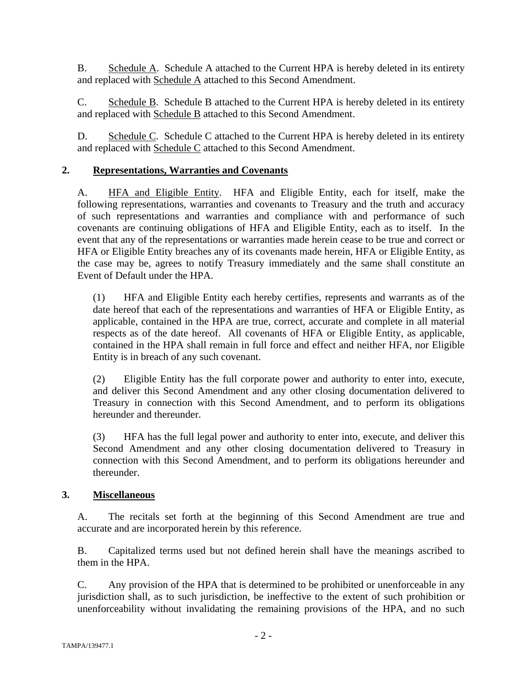B. Schedule A. Schedule A attached to the Current HPA is hereby deleted in its entirety and replaced with Schedule A attached to this Second Amendment.

C. Schedule B. Schedule B attached to the Current HPA is hereby deleted in its entirety and replaced with Schedule B attached to this Second Amendment.

D. Schedule C. Schedule C attached to the Current HPA is hereby deleted in its entirety and replaced with Schedule C attached to this Second Amendment.

## **2. Representations, Warranties and Covenants**

A. HFA and Eligible Entity. HFA and Eligible Entity, each for itself, make the following representations, warranties and covenants to Treasury and the truth and accuracy of such representations and warranties and compliance with and performance of such covenants are continuing obligations of HFA and Eligible Entity, each as to itself. In the event that any of the representations or warranties made herein cease to be true and correct or HFA or Eligible Entity breaches any of its covenants made herein, HFA or Eligible Entity, as the case may be, agrees to notify Treasury immediately and the same shall constitute an Event of Default under the HPA.

(1) HFA and Eligible Entity each hereby certifies, represents and warrants as of the date hereof that each of the representations and warranties of HFA or Eligible Entity, as applicable, contained in the HPA are true, correct, accurate and complete in all material respects as of the date hereof. All covenants of HFA or Eligible Entity, as applicable, contained in the HPA shall remain in full force and effect and neither HFA, nor Eligible Entity is in breach of any such covenant.

(2) Eligible Entity has the full corporate power and authority to enter into, execute, and deliver this Second Amendment and any other closing documentation delivered to Treasury in connection with this Second Amendment, and to perform its obligations hereunder and thereunder.

(3) HFA has the full legal power and authority to enter into, execute, and deliver this Second Amendment and any other closing documentation delivered to Treasury in connection with this Second Amendment, and to perform its obligations hereunder and thereunder.

## **3. Miscellaneous**

A. The recitals set forth at the beginning of this Second Amendment are true and accurate and are incorporated herein by this reference.

B. Capitalized terms used but not defined herein shall have the meanings ascribed to them in the HPA.

C. Any provision of the HPA that is determined to be prohibited or unenforceable in any jurisdiction shall, as to such jurisdiction, be ineffective to the extent of such prohibition or unenforceability without invalidating the remaining provisions of the HPA, and no such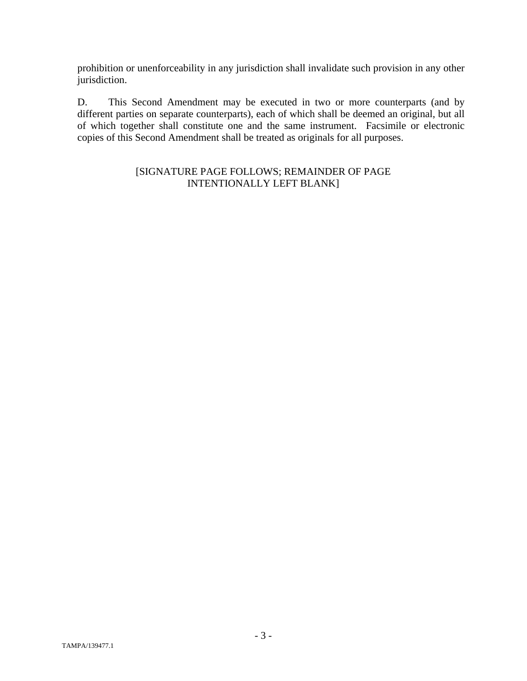prohibition or unenforceability in any jurisdiction shall invalidate such provision in any other jurisdiction.

D. This Second Amendment may be executed in two or more counterparts (and by different parties on separate counterparts), each of which shall be deemed an original, but all of which together shall constitute one and the same instrument. Facsimile or electronic copies of this Second Amendment shall be treated as originals for all purposes.

## [SIGNATURE PAGE FOLLOWS; REMAINDER OF PAGE INTENTIONALLY LEFT BLANK]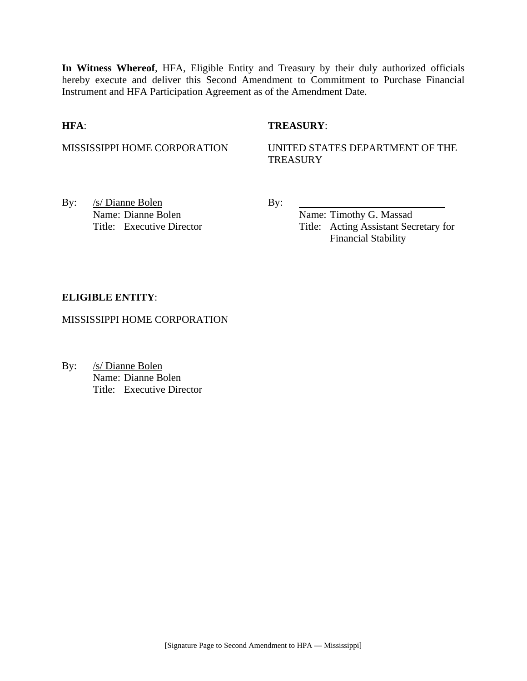**In Witness Whereof**, HFA, Eligible Entity and Treasury by their duly authorized officials hereby execute and deliver this Second Amendment to Commitment to Purchase Financial Instrument and HFA Participation Agreement as of the Amendment Date.

#### **HFA**: **TREASURY**:

#### MISSISSIPPI HOME CORPORATION UNITED STATES DEPARTMENT OF THE **TREASURY**

By: <u>/s/ Dianne Bolen</u> By: Name: Dianne Bolen Name: Timothy G. Massad

Title: Executive Director Title: Acting Assistant Secretary for Financial Stability

#### **ELIGIBLE ENTITY**:

MISSISSIPPI HOME CORPORATION

By: /s/ Dianne Bolen Name: Dianne Bolen Title: Executive Director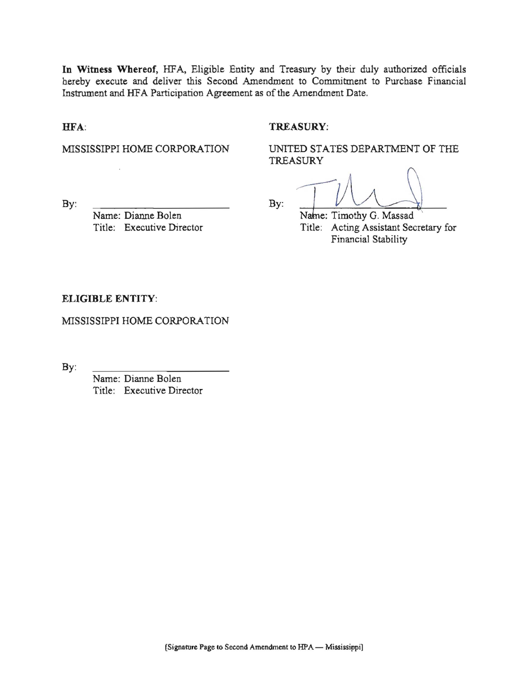In Witness Whereof, HFA, Eligible Entity and Treasury by their duly authorized officials hereby execute and deliver this Second Amendment to Commitment to Purchase Financial Instrument and HFA Participation Agreement as of the Amendment Date.

 $By:$ 

#### HFA:

#### TREASURY:

MISSISSIPPI HOME CORPORATION

UNITED STATES DEPARTMENT OF THE TREASURY

 $By:$ 

Name: Dianne Bolen Title: Executive Director

Name: Timothy G. Massad Title: Acting Assistant Secretary for Financial Stability

#### ELIGIBLE ENTITY:

MISSISSIPPI HOME CORPORATION

By:

Name: Dianne Bolen Title: Executive Director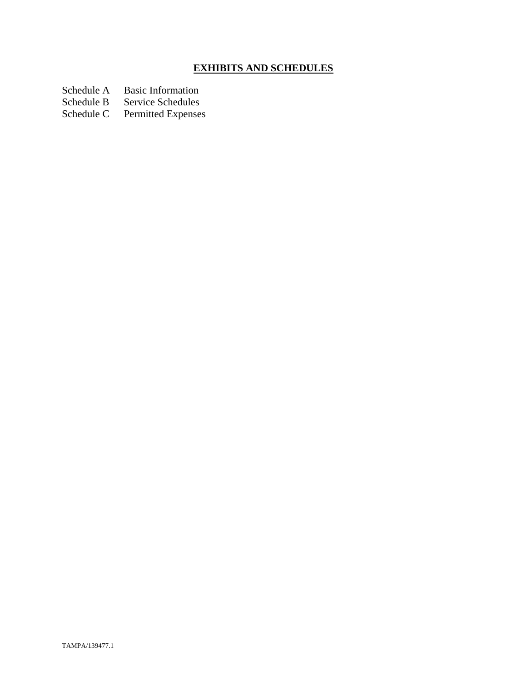# **EXHIBITS AND SCHEDULES**

Schedule A Basic Information<br>Schedule B Service Schedules

Schedule B Service Schedules<br>Schedule C Permitted Expenses

Permitted Expenses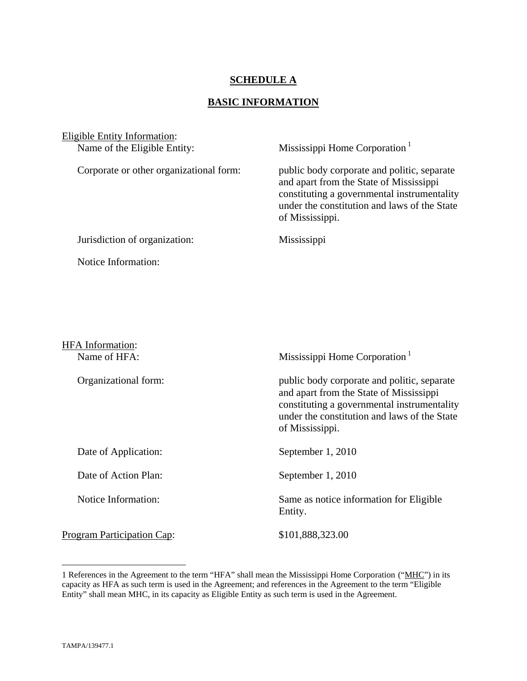### **SCHEDULE A**

## **BASIC INFORMATION**

| <b>Eligible Entity Information:</b>     |                                                                                                                                                                                                          |
|-----------------------------------------|----------------------------------------------------------------------------------------------------------------------------------------------------------------------------------------------------------|
| Name of the Eligible Entity:            | Mississippi Home Corporation <sup>1</sup>                                                                                                                                                                |
| Corporate or other organizational form: | public body corporate and politic, separate<br>and apart from the State of Mississippi<br>constituting a governmental instrumentality<br>under the constitution and laws of the State<br>of Mississippi. |
| Jurisdiction of organization:           | Mississippi                                                                                                                                                                                              |
| Notice Information:                     |                                                                                                                                                                                                          |
|                                         |                                                                                                                                                                                                          |
|                                         |                                                                                                                                                                                                          |
|                                         |                                                                                                                                                                                                          |
| <b>HFA</b> Information:                 |                                                                                                                                                                                                          |
| Name of HFA:                            | Mississippi Home Corporation <sup>1</sup>                                                                                                                                                                |
| Organizational form:                    | public body corporate and politic, separate<br>and apart from the State of Mississippi<br>constituting a governmental instrumentality<br>under the constitution and laws of the State<br>of Mississippi. |
| Date of Application:                    | September 1, 2010                                                                                                                                                                                        |
| Date of Action Plan:                    | September 1, 2010                                                                                                                                                                                        |

Notice Information: Same as notice information for Eligible

Program Participation Cap: \$101,888,323.00

Entity.

1

<sup>1</sup> References in the Agreement to the term "HFA" shall mean the Mississippi Home Corporation ("MHC") in its capacity as HFA as such term is used in the Agreement; and references in the Agreement to the term "Eligible Entity" shall mean MHC, in its capacity as Eligible Entity as such term is used in the Agreement.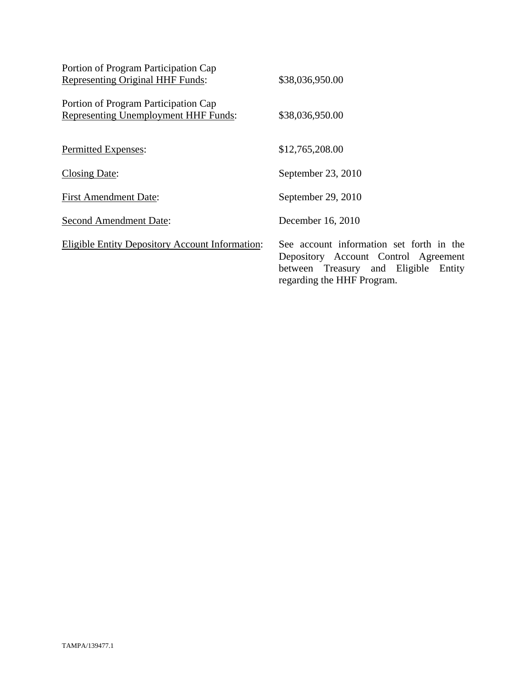| Portion of Program Participation Cap                                                |                                                                                                                                                           |
|-------------------------------------------------------------------------------------|-----------------------------------------------------------------------------------------------------------------------------------------------------------|
| <b>Representing Original HHF Funds:</b>                                             | \$38,036,950.00                                                                                                                                           |
| Portion of Program Participation Cap<br><b>Representing Unemployment HHF Funds:</b> | \$38,036,950.00                                                                                                                                           |
| Permitted Expenses:                                                                 | \$12,765,208.00                                                                                                                                           |
| <b>Closing Date:</b>                                                                | September 23, 2010                                                                                                                                        |
| <b>First Amendment Date:</b>                                                        | September 29, 2010                                                                                                                                        |
| <b>Second Amendment Date:</b>                                                       | December 16, 2010                                                                                                                                         |
| <b>Eligible Entity Depository Account Information:</b>                              | See account information set forth in the<br>Depository Account Control Agreement<br>between Treasury and Eligible<br>Entity<br>regarding the HHF Program. |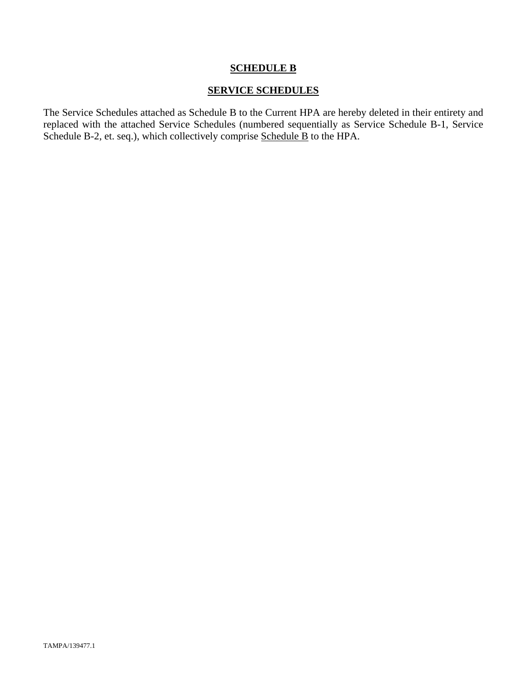## **SCHEDULE B**

### **SERVICE SCHEDULES**

The Service Schedules attached as Schedule B to the Current HPA are hereby deleted in their entirety and replaced with the attached Service Schedules (numbered sequentially as Service Schedule B-1, Service Schedule B-2, et. seq.), which collectively comprise Schedule B to the HPA.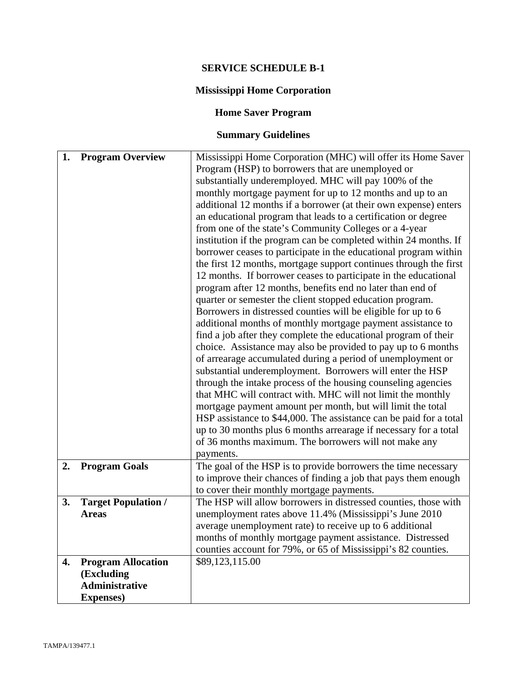## **SERVICE SCHEDULE B-1**

## **Mississippi Home Corporation**

## **Home Saver Program**

# **Summary Guidelines**

| 1. | <b>Program Overview</b>             | Mississippi Home Corporation (MHC) will offer its Home Saver                                                               |  |
|----|-------------------------------------|----------------------------------------------------------------------------------------------------------------------------|--|
|    |                                     | Program (HSP) to borrowers that are unemployed or                                                                          |  |
|    |                                     | substantially underemployed. MHC will pay 100% of the                                                                      |  |
|    |                                     | monthly mortgage payment for up to 12 months and up to an                                                                  |  |
|    |                                     | additional 12 months if a borrower (at their own expense) enters                                                           |  |
|    |                                     | an educational program that leads to a certification or degree                                                             |  |
|    |                                     | from one of the state's Community Colleges or a 4-year                                                                     |  |
|    |                                     | institution if the program can be completed within 24 months. If                                                           |  |
|    |                                     | borrower ceases to participate in the educational program within                                                           |  |
|    |                                     | the first 12 months, mortgage support continues through the first                                                          |  |
|    |                                     | 12 months. If borrower ceases to participate in the educational                                                            |  |
|    |                                     | program after 12 months, benefits end no later than end of                                                                 |  |
|    |                                     | quarter or semester the client stopped education program.                                                                  |  |
|    |                                     | Borrowers in distressed counties will be eligible for up to 6                                                              |  |
|    |                                     | additional months of monthly mortgage payment assistance to                                                                |  |
|    |                                     | find a job after they complete the educational program of their                                                            |  |
|    |                                     | choice. Assistance may also be provided to pay up to 6 months                                                              |  |
|    |                                     | of arrearage accumulated during a period of unemployment or                                                                |  |
|    |                                     | substantial underemployment. Borrowers will enter the HSP                                                                  |  |
|    |                                     | through the intake process of the housing counseling agencies                                                              |  |
|    |                                     | that MHC will contract with. MHC will not limit the monthly                                                                |  |
|    |                                     | mortgage payment amount per month, but will limit the total                                                                |  |
|    |                                     | HSP assistance to \$44,000. The assistance can be paid for a total                                                         |  |
|    |                                     | up to 30 months plus 6 months arrearage if necessary for a total                                                           |  |
|    |                                     | of 36 months maximum. The borrowers will not make any                                                                      |  |
|    |                                     |                                                                                                                            |  |
| 2. | <b>Program Goals</b>                | payments.<br>The goal of the HSP is to provide borrowers the time necessary                                                |  |
|    |                                     | to improve their chances of finding a job that pays them enough                                                            |  |
|    |                                     |                                                                                                                            |  |
| 3. | <b>Target Population /</b>          | to cover their monthly mortgage payments.<br>The HSP will allow borrowers in distressed counties, those with               |  |
|    | <b>Areas</b>                        | unemployment rates above 11.4% (Mississippi's June 2010                                                                    |  |
|    |                                     |                                                                                                                            |  |
|    |                                     | average unemployment rate) to receive up to 6 additional                                                                   |  |
|    |                                     | months of monthly mortgage payment assistance. Distressed<br>counties account for 79%, or 65 of Mississippi's 82 counties. |  |
|    |                                     |                                                                                                                            |  |
| 4. | <b>Program Allocation</b>           | \$89,123,115.00                                                                                                            |  |
|    | (Excluding<br><b>Administrative</b> |                                                                                                                            |  |
|    |                                     |                                                                                                                            |  |
|    | <b>Expenses</b> )                   |                                                                                                                            |  |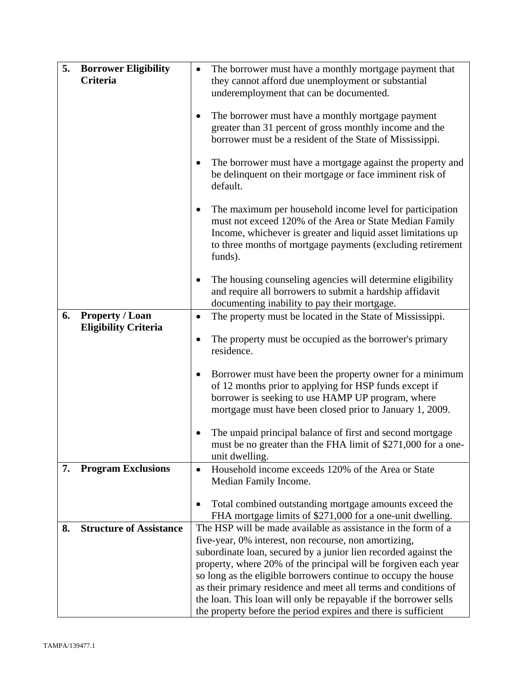| 5. | <b>Borrower Eligibility</b>    | The borrower must have a monthly mortgage payment that                                                                                                                                                                                                                    |  |
|----|--------------------------------|---------------------------------------------------------------------------------------------------------------------------------------------------------------------------------------------------------------------------------------------------------------------------|--|
|    | Criteria                       | they cannot afford due unemployment or substantial<br>underemployment that can be documented.                                                                                                                                                                             |  |
|    |                                |                                                                                                                                                                                                                                                                           |  |
|    |                                | The borrower must have a monthly mortgage payment<br>٠                                                                                                                                                                                                                    |  |
|    |                                | greater than 31 percent of gross monthly income and the<br>borrower must be a resident of the State of Mississippi.                                                                                                                                                       |  |
|    |                                |                                                                                                                                                                                                                                                                           |  |
|    |                                | The borrower must have a mortgage against the property and<br>be delinquent on their mortgage or face imminent risk of<br>default.                                                                                                                                        |  |
|    |                                | The maximum per household income level for participation<br>$\bullet$<br>must not exceed 120% of the Area or State Median Family<br>Income, whichever is greater and liquid asset limitations up<br>to three months of mortgage payments (excluding retirement<br>funds). |  |
|    |                                | The housing counseling agencies will determine eligibility<br>$\bullet$<br>and require all borrowers to submit a hardship affidavit<br>documenting inability to pay their mortgage.                                                                                       |  |
| 6. | <b>Property / Loan</b>         | The property must be located in the State of Mississippi.<br>٠                                                                                                                                                                                                            |  |
|    | <b>Eligibility Criteria</b>    | The property must be occupied as the borrower's primary<br>residence.                                                                                                                                                                                                     |  |
|    |                                | Borrower must have been the property owner for a minimum<br>٠<br>of 12 months prior to applying for HSP funds except if<br>borrower is seeking to use HAMP UP program, where<br>mortgage must have been closed prior to January 1, 2009.                                  |  |
|    |                                | The unpaid principal balance of first and second mortgage<br>must be no greater than the FHA limit of \$271,000 for a one-<br>unit dwelling.                                                                                                                              |  |
| 7. | <b>Program Exclusions</b>      | Household income exceeds 120% of the Area or State<br>Median Family Income.                                                                                                                                                                                               |  |
|    |                                | Total combined outstanding mortgage amounts exceed the                                                                                                                                                                                                                    |  |
|    |                                | FHA mortgage limits of \$271,000 for a one-unit dwelling.                                                                                                                                                                                                                 |  |
| 8. | <b>Structure of Assistance</b> | The HSP will be made available as assistance in the form of a                                                                                                                                                                                                             |  |
|    |                                | five-year, 0% interest, non recourse, non amortizing,<br>subordinate loan, secured by a junior lien recorded against the                                                                                                                                                  |  |
|    |                                | property, where 20% of the principal will be forgiven each year                                                                                                                                                                                                           |  |
|    |                                | so long as the eligible borrowers continue to occupy the house                                                                                                                                                                                                            |  |
|    |                                | as their primary residence and meet all terms and conditions of<br>the loan. This loan will only be repayable if the borrower sells                                                                                                                                       |  |
|    |                                | the property before the period expires and there is sufficient                                                                                                                                                                                                            |  |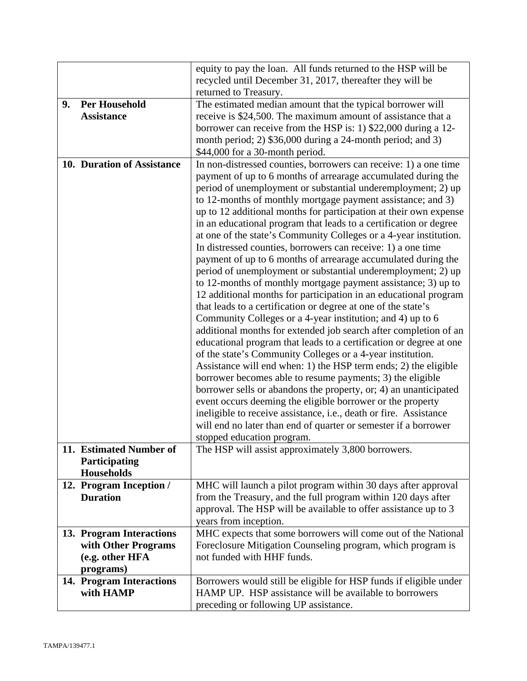|    |                                        | equity to pay the loan. All funds returned to the HSP will be                                                               |  |
|----|----------------------------------------|-----------------------------------------------------------------------------------------------------------------------------|--|
|    |                                        | recycled until December 31, 2017, thereafter they will be                                                                   |  |
|    |                                        | returned to Treasury.                                                                                                       |  |
| 9. | <b>Per Household</b>                   | The estimated median amount that the typical borrower will                                                                  |  |
|    | <b>Assistance</b>                      | receive is \$24,500. The maximum amount of assistance that a                                                                |  |
|    |                                        | borrower can receive from the HSP is: 1) \$22,000 during a 12-                                                              |  |
|    |                                        | month period; 2) \$36,000 during a 24-month period; and 3)                                                                  |  |
|    |                                        | \$44,000 for a 30-month period.                                                                                             |  |
|    | 10. Duration of Assistance             | In non-distressed counties, borrowers can receive: 1) a one time                                                            |  |
|    |                                        | payment of up to 6 months of arrearage accumulated during the                                                               |  |
|    |                                        | period of unemployment or substantial underemployment; 2) up                                                                |  |
|    |                                        | to 12-months of monthly mortgage payment assistance; and 3)                                                                 |  |
|    |                                        | up to 12 additional months for participation at their own expense                                                           |  |
|    |                                        | in an educational program that leads to a certification or degree                                                           |  |
|    |                                        | at one of the state's Community Colleges or a 4-year institution.                                                           |  |
|    |                                        | In distressed counties, borrowers can receive: 1) a one time                                                                |  |
|    |                                        | payment of up to 6 months of arrearage accumulated during the                                                               |  |
|    |                                        | period of unemployment or substantial underemployment; 2) up                                                                |  |
|    |                                        | to 12-months of monthly mortgage payment assistance; 3) up to                                                               |  |
|    |                                        | 12 additional months for participation in an educational program                                                            |  |
|    |                                        | that leads to a certification or degree at one of the state's                                                               |  |
|    |                                        | Community Colleges or a 4-year institution; and 4) up to 6                                                                  |  |
|    |                                        | additional months for extended job search after completion of an                                                            |  |
|    |                                        | educational program that leads to a certification or degree at one                                                          |  |
|    |                                        | of the state's Community Colleges or a 4-year institution.                                                                  |  |
|    |                                        | Assistance will end when: 1) the HSP term ends; 2) the eligible                                                             |  |
|    |                                        | borrower becomes able to resume payments; 3) the eligible                                                                   |  |
|    |                                        | borrower sells or abandons the property, or; 4) an unanticipated                                                            |  |
|    |                                        | event occurs deeming the eligible borrower or the property                                                                  |  |
|    |                                        | ineligible to receive assistance, i.e., death or fire. Assistance                                                           |  |
|    |                                        | will end no later than end of quarter or semester if a borrower                                                             |  |
|    |                                        | stopped education program.                                                                                                  |  |
|    | 11. Estimated Number of                | The HSP will assist approximately 3,800 borrowers.                                                                          |  |
|    | Participating                          |                                                                                                                             |  |
|    | <b>Households</b>                      |                                                                                                                             |  |
|    | 12. Program Inception /                | MHC will launch a pilot program within 30 days after approval                                                               |  |
|    | <b>Duration</b>                        | from the Treasury, and the full program within 120 days after                                                               |  |
|    |                                        | approval. The HSP will be available to offer assistance up to 3                                                             |  |
|    |                                        | years from inception.                                                                                                       |  |
|    |                                        | MHC expects that some borrowers will come out of the National                                                               |  |
|    | 13. Program Interactions               | Foreclosure Mitigation Counseling program, which program is                                                                 |  |
|    | with Other Programs<br>(e.g. other HFA | not funded with HHF funds.                                                                                                  |  |
|    |                                        |                                                                                                                             |  |
|    | programs)                              |                                                                                                                             |  |
|    | 14. Program Interactions<br>with HAMP  | Borrowers would still be eligible for HSP funds if eligible under<br>HAMP UP. HSP assistance will be available to borrowers |  |
|    |                                        |                                                                                                                             |  |
|    |                                        | preceding or following UP assistance.                                                                                       |  |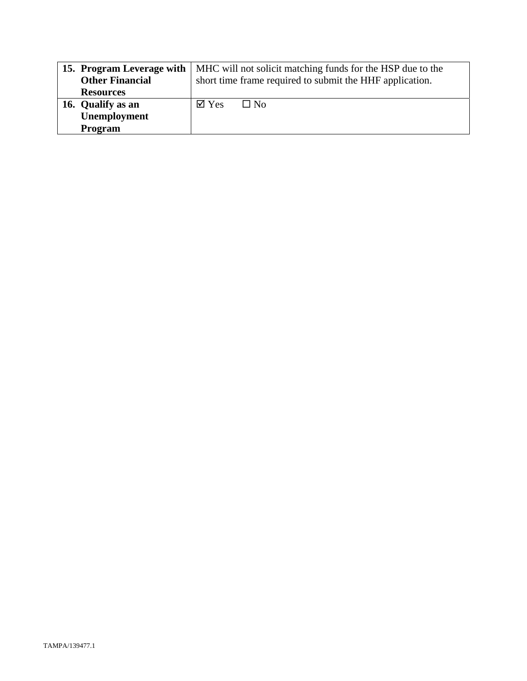|                        | <b>15. Program Leverage with   MHC</b> will not solicit matching funds for the HSP due to the |           |
|------------------------|-----------------------------------------------------------------------------------------------|-----------|
| <b>Other Financial</b> | short time frame required to submit the HHF application.                                      |           |
| <b>Resources</b>       |                                                                                               |           |
| 16. Qualify as an      | $\overline{\mathsf{d}}$ Yes                                                                   | $\Box$ No |
| Unemployment           |                                                                                               |           |
| Program                |                                                                                               |           |